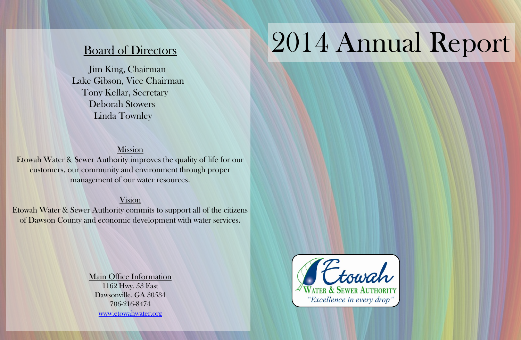## Board of Directors

Jim King, Chairman Lake Gibson, Vice Chairman Tony Kellar, Secretary Deborah Stowers Linda Townley

## Mission

Etowah Water & Sewer Authority improves the quality of life for our customers, our community and environment through proper management of our water resources.

### Vision

Etowah Water & Sewer Authority commits to support all of the citizens of Dawson County and economic development with water services.

> Main Office Information 1162 Hwy. 53 East Dawsonville, GA 30534 706-216-8474 [www.etowahwater.org](http://www.etowahwater.org/)

## TEtowah "Excellence in every drop"

# 2014 Annual Report